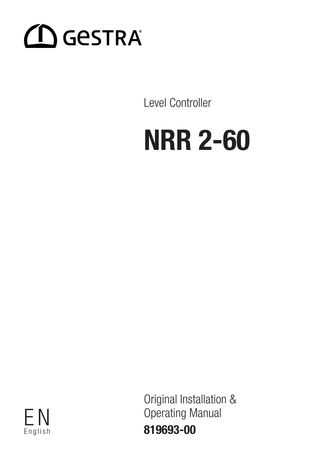

Level Controller

# NRR 2-60

English

Original Installation & F N Operating Manual 819693-00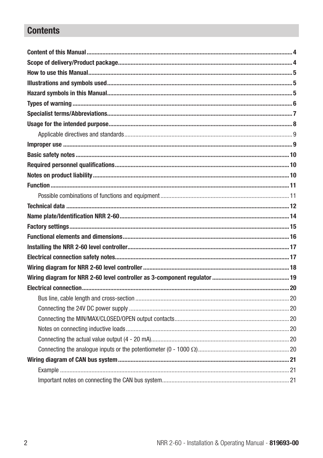## **Contents**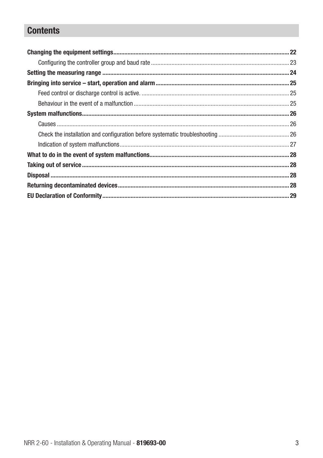## **Contents**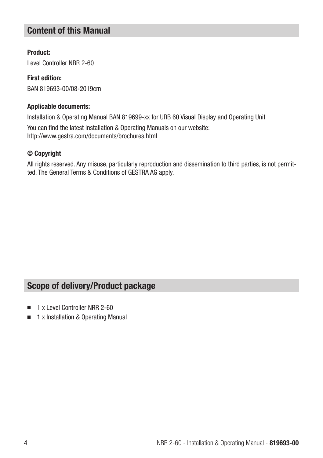## Content of this Manual

## Product:

Level Controller NRR 2-60

## First edition: BAN 819693-00/08-2019cm

## Applicable documents:

Installation & Operating Manual BAN 819699-xx for URB 60 Visual Display and Operating Unit

You can find the latest Installation & Operating Manuals on our website: http://www.gestra.com/documents/brochures.html

## © Copyright

All rights reserved. Any misuse, particularly reproduction and dissemination to third parties, is not permitted. The General Terms & Conditions of GESTRA AG apply.

## Scope of delivery/Product package

- 1 x Level Controller NRR 2-60
- 1 x Installation & Operating Manual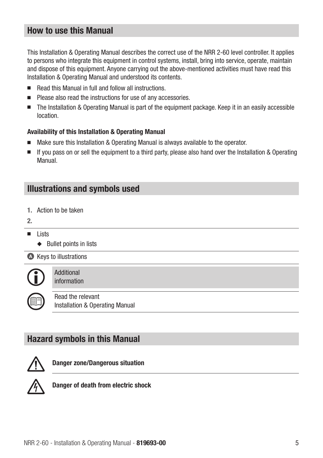## How to use this Manual

This Installation & Operating Manual describes the correct use of the NRR 2-60 level controller. It applies to persons who integrate this equipment in control systems, install, bring into service, operate, maintain and dispose of this equipment. Anyone carrying out the above-mentioned activities must have read this Installation & Operating Manual and understood its contents.

- Read this Manual in full and follow all instructions.
- Please also read the instructions for use of any accessories.
- The Installation & Operating Manual is part of the equipment package. Keep it in an easily accessible location.

## Availability of this Installation & Operating Manual

- Make sure this Installation & Operating Manual is always available to the operator.
- If you pass on or sell the equipment to a third party, please also hand over the Installation & Operating Manual.

## Illustrations and symbols used

- 1. Action to be taken
- 2.
- Lists
	- ◆ Bullet points in lists

**A** Keys to illustrations



Additional information

Read the relevant Installation & Operating Manual

## Hazard symbols in this Manual



Danger zone/Dangerous situation



Danger of death from electric shock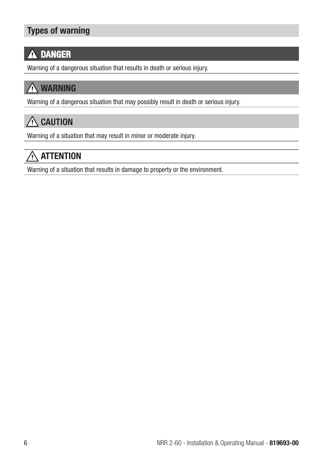# Types of warning

#### DANGER Ą

Warning of a dangerous situation that results in death or serious injury.

# WARNING

Warning of a dangerous situation that may possibly result in death or serious injury.

# $\bigwedge$  CAUTION

Warning of a situation that may result in minor or moderate injury.

# $\bigwedge$  attention

Warning of a situation that results in damage to property or the environment.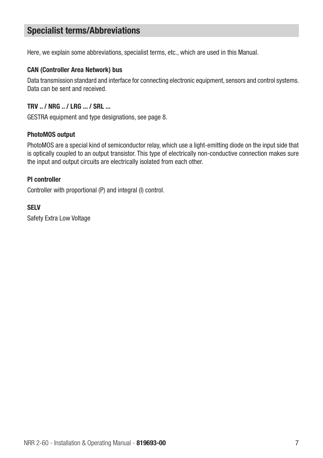## Specialist terms/Abbreviations

Here, we explain some abbreviations, specialist terms, etc., which are used in this Manual.

#### CAN (Controller Area Network) bus

Data transmission standard and interface for connecting electronic equipment, sensors and control systems. Data can be sent and received.

## TRV .. / NRG .. / LRG ... / SRL ...

GESTRA equipment and type designations, see page 8.

#### PhotoMOS output

PhotoMOS are a special kind of semiconductor relay, which use a light-emitting diode on the input side that is optically coupled to an output transistor. This type of electrically non-conductive connection makes sure the input and output circuits are electrically isolated from each other.

## PI controller

Controller with proportional (P) and integral (I) control.

#### SELV

Safety Extra Low Voltage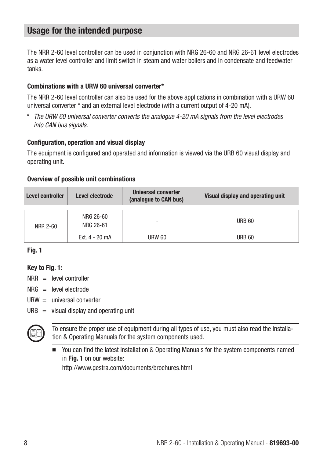## Usage for the intended purpose

The NRR 2-60 level controller can be used in conjunction with NRG 26-60 and NRG 26-61 level electrodes as a water level controller and limit switch in steam and water boilers and in condensate and feedwater tanks.

#### Combinations with a URW 60 universal converter\*

The NRR 2-60 level controller can also be used for the above applications in combination with a URW 60 universal converter \* and an external level electrode (with a current output of 4-20 mA).

*\* The URW 60 universal converter converts the analogue 4-20 mA signals from the level electrodes into CAN bus signals.*

#### Configuration, operation and visual display

The equipment is configured and operated and information is viewed via the URB 60 visual display and operating unit.

#### Overview of possible unit combinations

| Level controller | Level electrode        | Universal converter<br>(analogue to CAN bus) | Visual display and operating unit |
|------------------|------------------------|----------------------------------------------|-----------------------------------|
| NRR 2-60         | NRG 26-60<br>NRG 26-61 |                                              | <b>URB 60</b>                     |
|                  | $Fxt 4 - 20 mA$        | <b>URW 60</b>                                | <b>URB 60</b>                     |

## Fig. 1

## Key to Fig. 1:

- $NRR =$  level controller
- $NRG =$  level electrode
- $U$ RW = universal converter
- $URB =$  visual display and operating unit



To ensure the proper use of equipment during all types of use, you must also read the Installation & Operating Manuals for the system components used.

■ You can find the latest Installation & Operating Manuals for the system components named in Fig. 1 on our website:

http://www.gestra.com/documents/brochures.html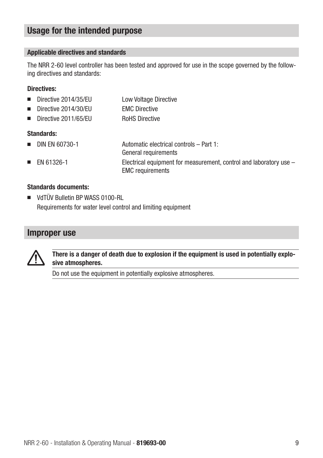## Usage for the intended purpose

## Applicable directives and standards

The NRR 2-60 level controller has been tested and approved for use in the scope governed by the following directives and standards:

#### Directives:

|  |  | Directive 2014/35/EU |  |  | Low Voltage Directive |
|--|--|----------------------|--|--|-----------------------|
|--|--|----------------------|--|--|-----------------------|

- Directive 2014/30/EU EMC Directive
- Directive 2011/65/EU RoHS Directive

## Standards:

■ DIN FN 60730-1 Automatic electrical controls – Part 1: General requirements ■ EN 61326-1 Electrical equipment for measurement, control and laboratory use – EMC requirements

## Standards documents:

■ VdTÜV Bulletin BP WASS 0100-RL Requirements for water level control and limiting equipment

## Improper use



There is a danger of death due to explosion if the equipment is used in potentially explosive atmospheres.

Do not use the equipment in potentially explosive atmospheres.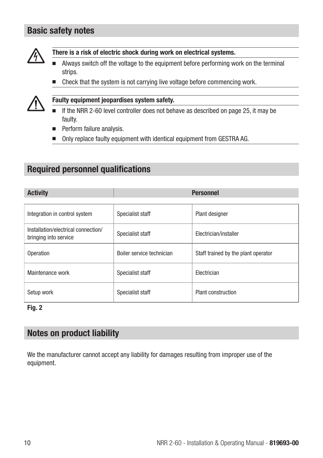## Basic safety notes



There is a risk of electric shock during work on electrical systems.

- Always switch off the voltage to the equipment before performing work on the terminal strips.
- Check that the system is not carrying live voltage before commencing work.



## Faulty equipment jeopardises system safety.

- If the NRR 2-60 level controller does not behave as described on page 25, it may be faulty.
- Perform failure analysis.
- Only replace faulty equipment with identical equipment from GESTRA AG.

## Required personnel qualifications

|  | ACTIVITV |  |
|--|----------|--|
|  |          |  |
|  |          |  |

| Integration in control system                                | Specialist staff          | Plant designer                      |
|--------------------------------------------------------------|---------------------------|-------------------------------------|
| Installation/electrical connection/<br>bringing into service | Specialist staff          | Electrician/installer               |
| Operation                                                    | Boiler service technician | Staff trained by the plant operator |
| Maintenance work                                             | Specialist staff          | Flectrician                         |
| Setup work                                                   | Specialist staff          | <b>Plant construction</b>           |

Personnel

## Fig. 2

## Notes on product liability

We the manufacturer cannot accept any liability for damages resulting from improper use of the equipment.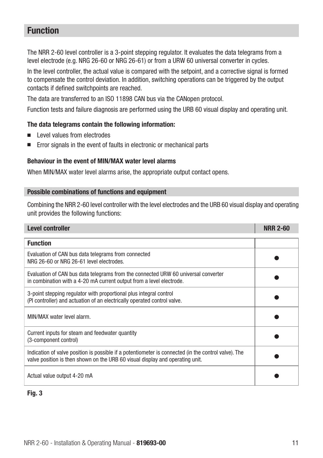## Function

The NRR 2-60 level controller is a 3-point stepping regulator. It evaluates the data telegrams from a level electrode (e.g. NRG 26-60 or NRG 26-61) or from a URW 60 universal converter in cycles.

In the level controller, the actual value is compared with the setpoint, and a corrective signal is formed to compensate the control deviation. In addition, switching operations can be triggered by the output contacts if defined switchpoints are reached.

The data are transferred to an ISO 11898 CAN bus via the CANopen protocol.

Function tests and failure diagnosis are performed using the URB 60 visual display and operating unit.

## The data telegrams contain the following information:

- Level values from electrodes
- Error signals in the event of faults in electronic or mechanical parts

#### Behaviour in the event of MIN/MAX water level alarms

When MIN/MAX water level alarms arise, the appropriate output contact opens.

#### Possible combinations of functions and equipment

Combining the NRR 2-60 level controller with the level electrodes and the URB 60 visual display and operating unit provides the following functions:

| Level controller                                                                                                                                                                      | <b>NRR 2-60</b> |
|---------------------------------------------------------------------------------------------------------------------------------------------------------------------------------------|-----------------|
| <b>Function</b>                                                                                                                                                                       |                 |
| Evaluation of CAN bus data telegrams from connected<br>NRG 26-60 or NRG 26-61 level electrodes.                                                                                       |                 |
| Evaluation of CAN bus data telegrams from the connected URW 60 universal converter<br>in combination with a 4-20 mA current output from a level electrode.                            |                 |
| 3-point stepping regulator with proportional plus integral control<br>(PI controller) and actuation of an electrically operated control valve.                                        |                 |
| MIN/MAX water level alarm.                                                                                                                                                            |                 |
| Current inputs for steam and feedwater quantity<br>(3-component control)                                                                                                              |                 |
| Indication of valve position is possible if a potentiometer is connected (in the control valve). The<br>valve position is then shown on the URB 60 visual display and operating unit. |                 |
| Actual value output 4-20 mA                                                                                                                                                           |                 |

## Fig. 3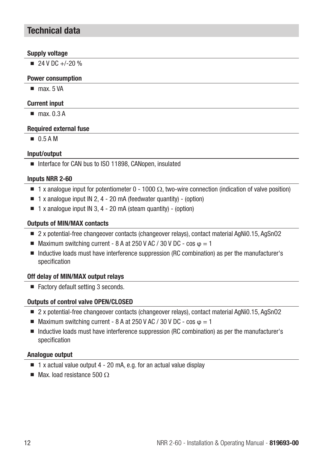## Technical data

#### Supply voltage

 $\blacksquare$  24 V DC +/-20 %

#### Power consumption

■ max 5 VA

## Current input

■ max 0.3 A

#### Required external fuse

■ 0.5 A M

## Input/output

■ Interface for CAN bus to ISO 11898, CANopen, insulated

#### Inputs NRR 2-60

- $\blacksquare$  1 x analogue input for potentiometer 0 1000  $\Omega$ , two-wire connection (indication of valve position)
- $\blacksquare$  1 x analogue input IN 2, 4 20 mA (feedwater quantity) (option)
- $\blacksquare$  1 x analogue input IN 3, 4 20 mA (steam quantity) (option)

## Outputs of MIN/MAX contacts

- 2 x potential-free changeover contacts (changeover relays), contact material AgNi0.15, AgSnO2
- $\blacksquare$  Maximum switching current 8 A at 250 V AC / 30 V DC cos  $\omega = 1$
- Inductive loads must have interference suppression (RC combination) as per the manufacturer's specification

## Off delay of MIN/MAX output relays

■ Factory default setting 3 seconds.

## Outputs of control valve OPEN/CLOSED

- 2 x potential-free changeover contacts (changeover relays), contact material AgNi0.15, AgSnO2
- **■** Maximum switching current 8 A at 250 V AC / 30 V DC cos  $\varphi = 1$
- Inductive loads must have interference suppression (RC combination) as per the manufacturer's specification

## Analogue output

- $\blacksquare$  1 x actual value output 4 20 mA, e.g. for an actual value display
- $\blacksquare$  Max. load resistance 500  $\Omega$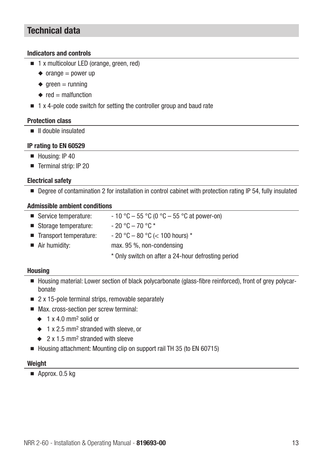## Technical data

#### Indicators and controls

- 1 x multicolour LED (orange, green, red)
	- $\triangleleft$  orange = power up
	- $\triangle$  areen = running
	- $\bullet$  red = malfunction
- 1 x 4-pole code switch for setting the controller group and baud rate

#### Protection class

■ II double insulated

#### IP rating to EN 60529

- Housing: IP 40
- Terminal strip: IP 20

## Electrical safety

■ Degree of contamination 2 for installation in control cabinet with protection rating IP 54, fully insulated

#### Admissible ambient conditions

- Service temperature:  $-10\degree C 55\degree C$  (0  $\degree C 55\degree C$  at power-on)
- Storage temperature:  $-20 °C 70 °C$
- Transport temperature:  $-20 °C 80 °C$  (< 100 hours)  $*$
- Air humidity: max. 95 %, non-condensing
	- \* Only switch on after a 24-hour defrosting period

#### **Housing**

- Housing material: Lower section of black polycarbonate (glass-fibre reinforced), front of grey polycarbonate
- 2 x 15-pole terminal strips, removable separately
- Max. cross-section per screw terminal:
	- $\triangle$  1 x 4.0 mm<sup>2</sup> solid or
	- ◆ 1 x 2.5 mm2 stranded with sleeve, or
	- ◆ 2 x 1.5 mm2 stranded with sleeve
- Housing attachment: Mounting clip on support rail TH 35 (to EN 60715)

#### **Weight**

■ Approx. 0.5 kg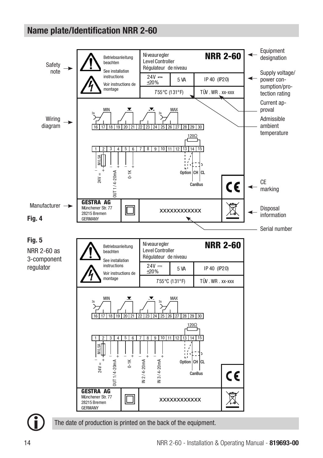## Name plate/Identification NRR 2-60



The date of production is printed on the back of the equipment.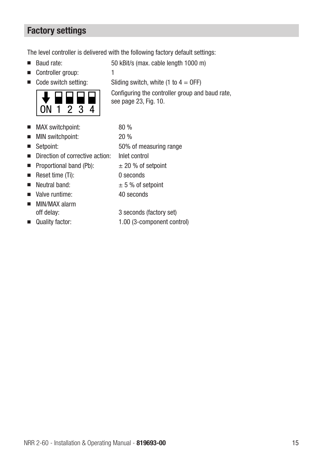## Factory settings

The level controller is delivered with the following factory default settings:

- 
- Controller group: 1
- 



- MAX switchpoint: 80 %
- MIN switchpoint: 20 %
- 
- Direction of corrective action: Inlet control
- $\blacksquare$  Proportional band (Pb):  $\qquad \pm 20$  % of setpoint
- Reset time (Ti): 0 seconds
- 
- Valve runtime: 40 seconds
- MIN/MAX alarm
- 

■ Baud rate: 50 kBit/s (max. cable length 1000 m)

■ Code switch setting: Sliding switch, white  $(1 to 4 = 0)$ FF)

Configuring the controller group and baud rate,

■ Setpoint: 50% of measuring range ■ Neutral band:  $± 5 %$  of setpoint

- off delay: 3 seconds (factory set)
- Quality factor: 1.00 (3-component control)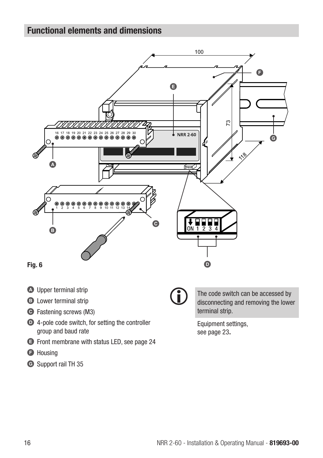## Functional elements and dimensions



Ĭ

- **A** Upper terminal strip
- **B** Lower terminal strip
- C Fastening screws (M3)
- D 4-pole code switch, for setting the controller group and baud rate
- E Front membrane with status LED, see page 24
- **G** Housing
- G Support rail TH 35

The code switch can be accessed by disconnecting and removing the lower terminal strip.

Equipment settings, see page 23.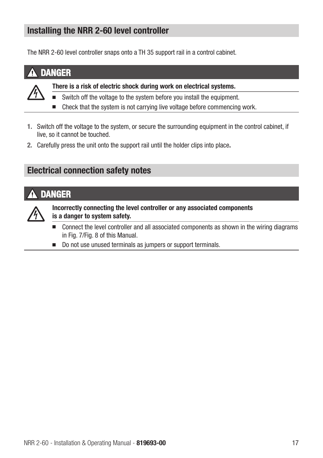## Installing the NRR 2-60 level controller

The NRR 2-60 level controller snaps onto a TH 35 support rail in a control cabinet.

## **DANGER**



- There is a risk of electric shock during work on electrical systems.
- Switch off the voltage to the system before you install the equipment.
- Check that the system is not carrying live voltage before commencing work.
- 1. Switch off the voltage to the system, or secure the surrounding equipment in the control cabinet, if live, so it cannot be touched.
- 2. Carefully press the unit onto the support rail until the holder clips into place.

## Electrical connection safety notes

## DANGER



Incorrectly connecting the level controller or any associated components is a danger to system safety.

- Connect the level controller and all associated components as shown in the wiring diagrams in Fig. 7/Fig. 8 of this Manual.
- Do not use unused terminals as jumpers or support terminals.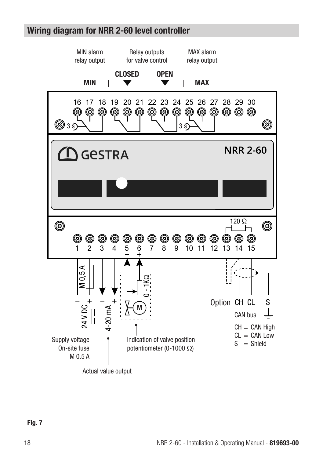## Wiring diagram for NRR 2-60 level controller

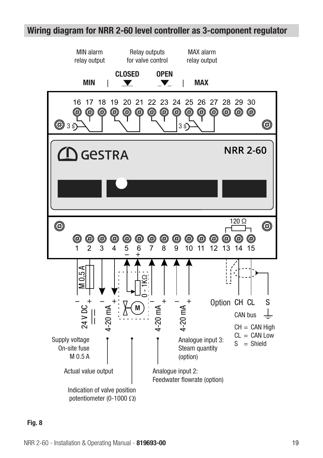## Wiring diagram for NRR 2-60 level controller as 3-component regulator

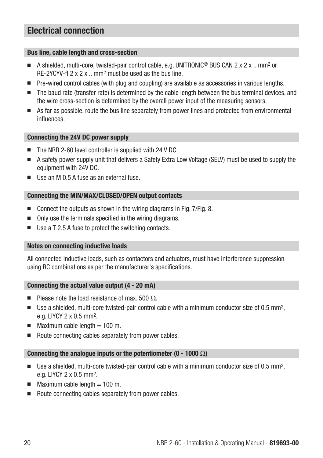## Electrical connection

#### Bus line, cable length and cross-section

- A shielded, multi-core, twisted-pair control cable, e.g. UNITRONIC<sup>®</sup> BUS CAN 2 x 2 x ... mm<sup>2</sup> or RE-2YCYV-fl 2 x 2 x .. mm2 must be used as the bus line.
- Pre-wired control cables (with plug and coupling) are available as accessories in various lengths.
- The baud rate (transfer rate) is determined by the cable length between the bus terminal devices, and the wire cross-section is determined by the overall power input of the measuring sensors.
- As far as possible, route the bus line separately from power lines and protected from environmental influences.

#### Connecting the 24V DC power supply

- The NRR 2-60 level controller is supplied with 24 V DC.
- A safety power supply unit that delivers a Safety Extra Low Voltage (SELV) must be used to supply the equipment with 24V DC.
- Use an M 0.5 A fuse as an external fuse

## Connecting the MIN/MAX/CLOSED/OPEN output contacts

- Connect the outputs as shown in the wiring diagrams in Fig. 7/Fig. 8.
- Only use the terminals specified in the wiring diagrams.
- Use a T 2.5 A fuse to protect the switching contacts.

## Notes on connecting inductive loads

All connected inductive loads, such as contactors and actuators, must have interference suppression using RC combinations as per the manufacturer's specifications.

## Connecting the actual value output (4 - 20 mA)

- **Please note the load resistance of max.** 500  $\Omega$
- Use a shielded, multi-core twisted-pair control cable with a minimum conductor size of 0.5 mm<sup>2</sup>. e.g. LIYCY 2 x 0.5 mm2.
- $\blacksquare$  Maximum cable length = 100 m.
- Route connecting cables separately from power cables.

## Connecting the analogue inputs or the potentiometer (0 - 1000  $\Omega$ )

- $\blacksquare$  Use a shielded, multi-core twisted-pair control cable with a minimum conductor size of 0.5 mm<sup>2</sup>. e.g. LIYCY 2 x 0.5 mm2.
- Maximum cable length  $= 100$  m.
- Route connecting cables separately from power cables.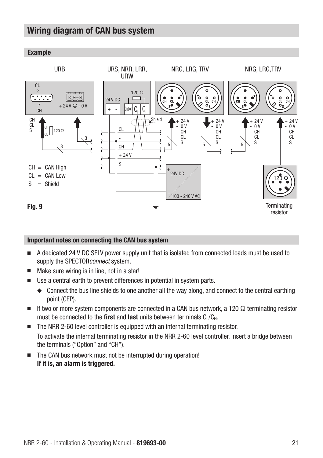## Wiring diagram of CAN bus system

## Example



#### Important notes on connecting the CAN bus system

- A dedicated 24 V DC SELV power supply unit that is isolated from connected loads must be used to supply the SPECTORconnect system.
- Make sure wiring is in line, not in a star!
- Use a central earth to prevent differences in potential in system parts.
	- ◆ Connect the bus line shields to one another all the way along, and connect to the central earthing point (CEP).
- If two or more system components are connected in a CAN bus network, a 120 Q terminating resistor must be connected to the first and last units between terminals  $C_1/C_{H}$ .
- The NRR 2-60 level controller is equipped with an internal terminating resistor. To activate the internal terminating resistor in the NRR 2-60 level controller, insert a bridge between the terminals ("Option" and "CH").
- The CAN bus network must not be interrupted during operation! If it is, an alarm is triggered.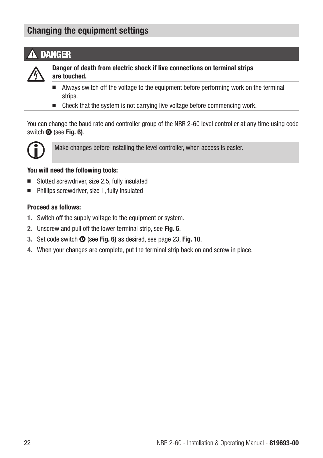## Changing the equipment settings

# DANGER



Danger of death from electric shock if live connections on terminal strips are touched.

- Always switch off the voltage to the equipment before performing work on the terminal strips.
- Check that the system is not carrying live voltage before commencing work.

You can change the baud rate and controller group of the NRR 2-60 level controller at any time using code switch  $\bullet$  (see Fig. 6).



Make changes before installing the level controller, when access is easier.

## You will need the following tools:

- Slotted screwdriver, size 2.5, fully insulated
- Phillips screwdriver, size 1, fully insulated

## Proceed as follows:

- 1. Switch off the supply voltage to the equipment or system.
- 2. Unscrew and pull off the lower terminal strip, see Fig. 6.
- 3. Set code switch  $\bullet$  (see Fig. 6) as desired, see page 23, Fig. 10.
- 4. When your changes are complete, put the terminal strip back on and screw in place.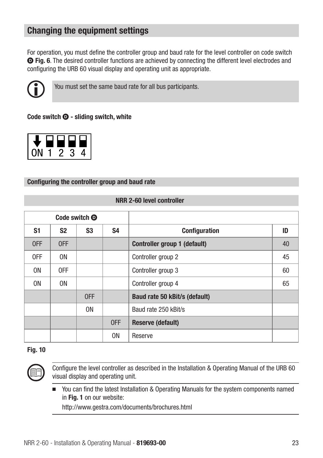## Changing the equipment settings

For operation, you must define the controller group and baud rate for the level controller on code switch D Fig. 6. The desired controller functions are achieved by connecting the different level electrodes and configuring the URB 60 visual display and operating unit as appropriate.



You must set the same baud rate for all bus participants.

## Code switch  $\mathbf{\Theta}$  - sliding switch, white

## Configuring the controller group and baud rate

|                |                | Code switch <sup>O</sup> |                |                               |    |
|----------------|----------------|--------------------------|----------------|-------------------------------|----|
| S <sub>1</sub> | S <sub>2</sub> | S <sub>3</sub>           | S <sub>4</sub> | <b>Configuration</b>          | ID |
| 0FF            | 0FF            |                          |                | Controller group 1 (default)  | 40 |
| 0FF            | 0N             |                          |                | Controller group 2            | 45 |
| 0 <sub>N</sub> | 0FF            |                          |                | Controller group 3            | 60 |
| 0 <sub>N</sub> | 0N             |                          |                | Controller group 4            | 65 |
|                |                | 0FF                      |                | Baud rate 50 kBit/s (default) |    |
|                |                | 0 <sub>N</sub>           |                | Baud rate 250 kBit/s          |    |
|                |                |                          | 0FF            | <b>Reserve (default)</b>      |    |
|                |                |                          | 0N             | Reserve                       |    |

## NRR 2-60 level controller

## Fig. 10



Configure the level controller as described in the Installation & Operating Manual of the URB 60 visual display and operating unit.

■ You can find the latest Installation & Operating Manuals for the system components named in Fig. 1 on our website:

http://www.gestra.com/documents/brochures.html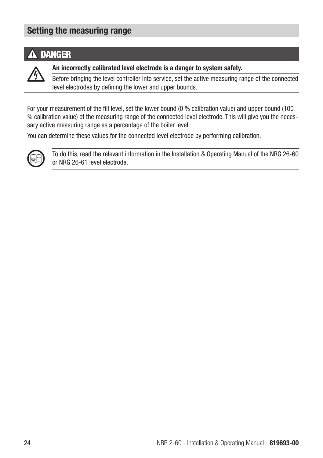## Setting the measuring range

## **A** DANGER

An incorrectly calibrated level electrode is a danger to system safety.

Before bringing the level controller into service, set the active measuring range of the connected level electrodes by defining the lower and upper bounds.

For your measurement of the fill level, set the lower bound (0 % calibration value) and upper bound (100 % calibration value) of the measuring range of the connected level electrode. This will give you the necessary active measuring range as a percentage of the boiler level.

You can determine these values for the connected level electrode by performing calibration.



To do this, read the relevant information in the Installation & Operating Manual of the NRG 26-60 or NRG 26-61 level electrode.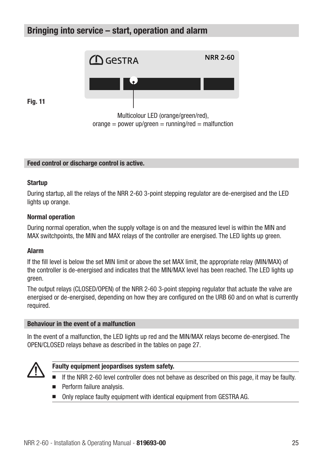## Bringing into service – start, operation and alarm



 $orance = power up/green = running/red = malfunction$ 

Fig. 11

## Feed control or discharge control is active.

#### **Startup**

During startup, all the relays of the NRR 2-60 3-point stepping regulator are de-energised and the LED lights up orange.

#### Normal operation

During normal operation, when the supply voltage is on and the measured level is within the MIN and MAX switchpoints, the MIN and MAX relays of the controller are energised. The LED lights up green.

#### Alarm

If the fill level is below the set MIN limit or above the set MAX limit, the appropriate relay (MIN/MAX) of the controller is de-energised and indicates that the MIN/MAX level has been reached. The LED lights up green.

The output relays (CLOSED/OPEN) of the NRR 2-60 3-point stepping regulator that actuate the valve are energised or de-energised, depending on how they are configured on the URB 60 and on what is currently required.

#### Behaviour in the event of a malfunction

In the event of a malfunction, the LED lights up red and the MIN/MAX relays become de-energised. The OPEN/CLOSED relays behave as described in the tables on page 27.



#### Faulty equipment jeopardises system safety.

- If the NRR 2-60 level controller does not behave as described on this page, it may be faulty.
- Perform failure analysis.
- Only replace faulty equipment with identical equipment from GESTRA AG.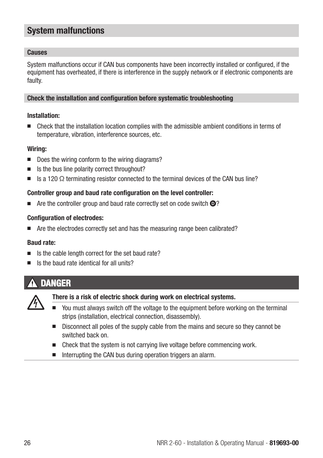## System malfunctions

## Causes

System malfunctions occur if CAN bus components have been incorrectly installed or configured, if the equipment has overheated, if there is interference in the supply network or if electronic components are faulty.

#### Check the installation and configuration before systematic troubleshooting

#### Installation:

■ Check that the installation location complies with the admissible ambient conditions in terms of temperature, vibration, interference sources, etc.

#### Wiring:

- Does the wiring conform to the wiring diagrams?
- Is the bus line polarity correct throughout?
- $\blacksquare$  Is a 120  $\Omega$  terminating resistor connected to the terminal devices of the CAN bus line?

## Controller group and baud rate configuration on the level controller:

 $\blacksquare$  Are the controller group and baud rate correctly set on code switch  $\blacksquare$ ?

## Configuration of electrodes:

■ Are the electrodes correctly set and has the measuring range been calibrated?

## Baud rate:

- Is the cable length correct for the set baud rate?
- Is the baud rate identical for all units?

## DANGER



## There is a risk of electric shock during work on electrical systems.

- You must always switch off the voltage to the equipment before working on the terminal strips (installation, electrical connection, disassembly).
- Disconnect all poles of the supply cable from the mains and secure so they cannot be switched back on.
- Check that the system is not carrying live voltage before commencing work.
- Interrupting the CAN bus during operation triggers an alarm.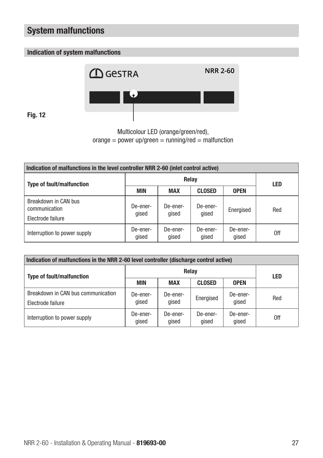## System malfunctions

## Indication of system malfunctions



Fig. 12

Multicolour LED (orange/green/red),  $orange = power up/green = running/red = malfunction$ 

| Indication of malfunctions in the level controller NRR 2-60 (inlet control active) |                   |                   |                   |                   |            |  |  |
|------------------------------------------------------------------------------------|-------------------|-------------------|-------------------|-------------------|------------|--|--|
| <b>Type of fault/malfunction</b>                                                   | Relay             |                   |                   |                   | <b>LED</b> |  |  |
|                                                                                    | <b>MIN</b>        | <b>MAX</b>        | <b>CLOSED</b>     | <b>OPEN</b>       |            |  |  |
| Breakdown in CAN bus<br>communication<br>Electrode failure                         | De-ener-<br>qised | De-ener-<br>qised | De-ener-<br>qised | Energised         | Red        |  |  |
| Interruption to power supply                                                       | De-ener-<br>qised | De-ener-<br>qised | De-ener-<br>qised | De-ener-<br>gised | 0ff        |  |  |

| Indication of malfunctions in the NRR 2-60 level controller (discharge control active) |                   |                   |                   |                   |            |  |  |  |
|----------------------------------------------------------------------------------------|-------------------|-------------------|-------------------|-------------------|------------|--|--|--|
| <b>Type of fault/malfunction</b>                                                       | Relav             |                   |                   |                   | <b>LED</b> |  |  |  |
|                                                                                        | <b>MIN</b>        | <b>MAX</b>        | <b>CLOSED</b>     | <b>OPEN</b>       |            |  |  |  |
| Breakdown in CAN bus communication<br>Electrode failure                                | De-ener-<br>aised | De-ener-<br>qised | Energised         | De-ener-<br>qised | Red        |  |  |  |
| Interruption to power supply                                                           | De-ener-<br>qised | De-ener-<br>qised | De-ener-<br>qised | De-ener-<br>qised | 0ff        |  |  |  |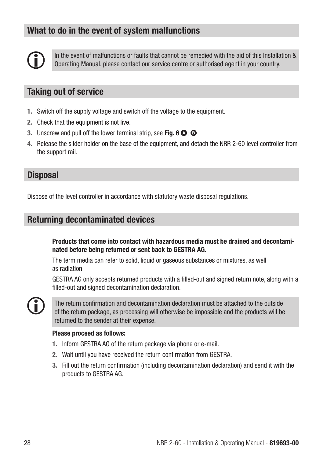## What to do in the event of system malfunctions



In the event of malfunctions or faults that cannot be remedied with the aid of this Installation & Operating Manual, please contact our service centre or authorised agent in your country.

## Taking out of service

- 1. Switch off the supply voltage and switch off the voltage to the equipment.
- 2. Check that the equipment is not live.
- 3. Unscrew and pull off the lower terminal strip, see Fig. 6  $\bullet$ ;  $\bullet$
- 4. Release the slider holder on the base of the equipment, and detach the NRR 2-60 level controller from the support rail.

## **Disposal**

Dispose of the level controller in accordance with statutory waste disposal regulations.

## Returning decontaminated devices

Products that come into contact with hazardous media must be drained and decontaminated before being returned or sent back to GESTRA AG.

The term media can refer to solid, liquid or gaseous substances or mixtures, as well as radiation.

GESTRA AG only accepts returned products with a filled-out and signed return note, along with a filled-out and signed decontamination declaration.



The return confirmation and decontamination declaration must be attached to the outside of the return package, as processing will otherwise be impossible and the products will be returned to the sender at their expense.

#### Please proceed as follows:

- 1. Inform GESTRA AG of the return package via phone or e-mail.
- 2. Wait until you have received the return confirmation from GESTRA.
- 3. Fill out the return confirmation (including decontamination declaration) and send it with the products to GESTRA AG.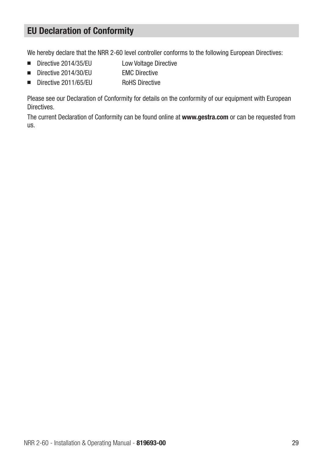## EU Declaration of Conformity

We hereby declare that the NRR 2-60 level controller conforms to the following European Directives:

- Directive 2014/35/EU Low Voltage Directive
- Directive 2014/30/EU EMC Directive
- Directive 2011/65/FU RoHS Directive

Please see our Declaration of Conformity for details on the conformity of our equipment with European Directives.

The current Declaration of Conformity can be found online at www.gestra.com or can be requested from us.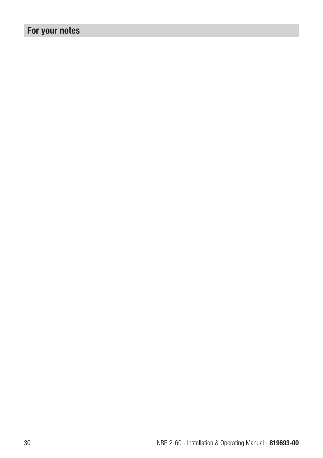# For your notes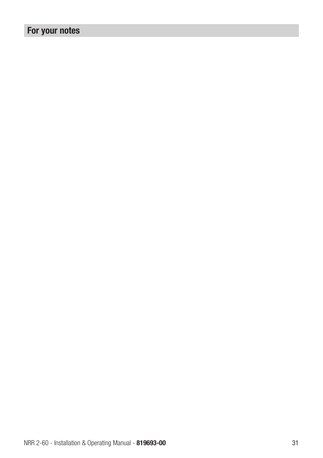# For your notes